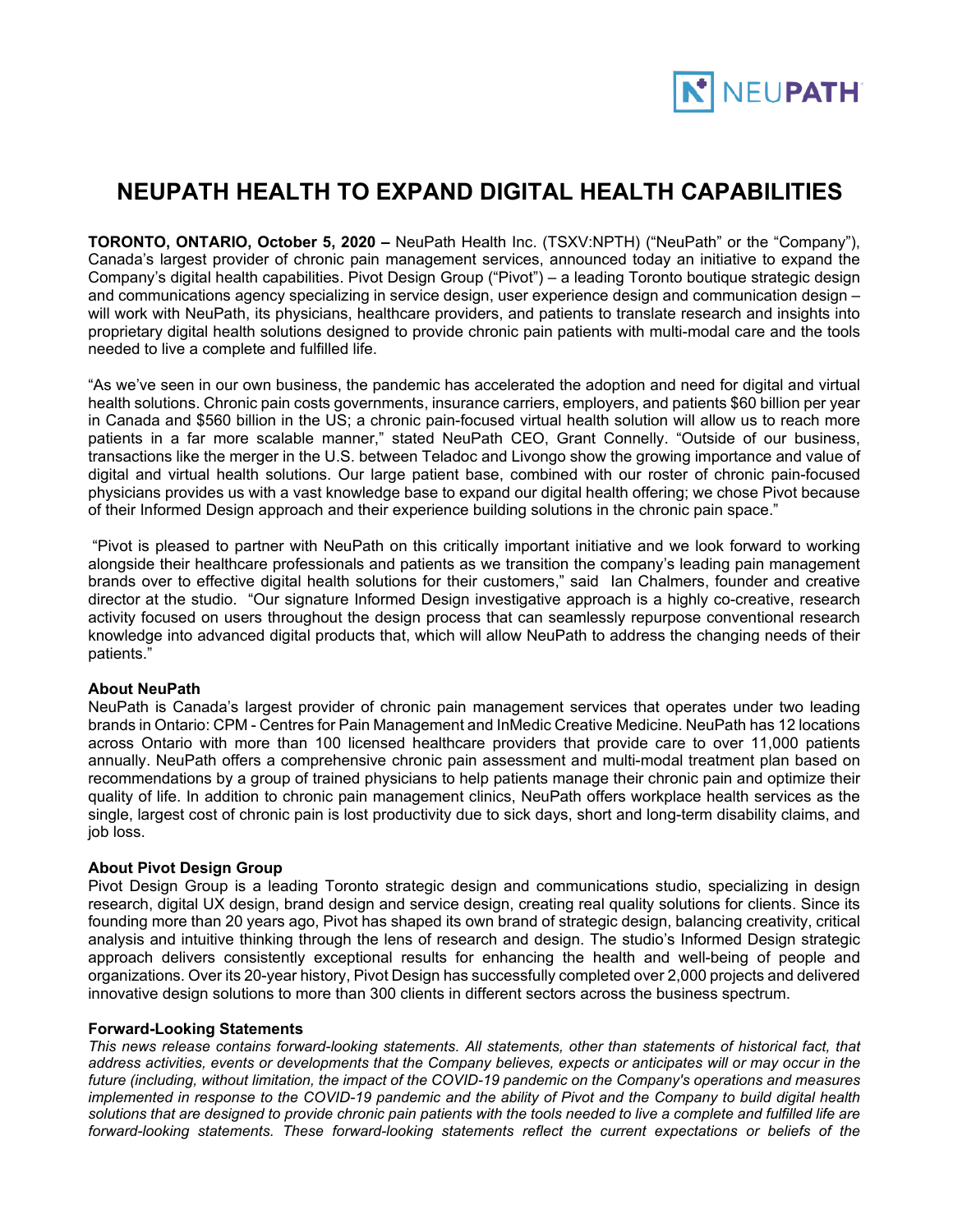

## **NEUPATH HEALTH TO EXPAND DIGITAL HEALTH CAPABILITIES**

**TORONTO, ONTARIO, October 5, 2020 –** NeuPath Health Inc. (TSXV:NPTH) ("NeuPath" or the "Company"), Canada's largest provider of chronic pain management services, announced today an initiative to expand the Company's digital health capabilities. Pivot Design Group ("Pivot") – a leading Toronto boutique strategic design and communications agency specializing in service design, user experience design and communication design – will work with NeuPath, its physicians, healthcare providers, and patients to translate research and insights into proprietary digital health solutions designed to provide chronic pain patients with multi-modal care and the tools needed to live a complete and fulfilled life.

"As we've seen in our own business, the pandemic has accelerated the adoption and need for digital and virtual health solutions. Chronic pain costs governments, insurance carriers, employers, and patients \$60 billion per year in Canada and \$560 billion in the US; a chronic pain-focused virtual health solution will allow us to reach more patients in a far more scalable manner," stated NeuPath CEO, Grant Connelly. "Outside of our business, transactions like the merger in the U.S. between Teladoc and Livongo show the growing importance and value of digital and virtual health solutions. Our large patient base, combined with our roster of chronic pain-focused physicians provides us with a vast knowledge base to expand our digital health offering; we chose Pivot because of their Informed Design approach and their experience building solutions in the chronic pain space."

"Pivot is pleased to partner with NeuPath on this critically important initiative and we look forward to working alongside their healthcare professionals and patients as we transition the company's leading pain management brands over to effective digital health solutions for their customers," said Ian Chalmers, founder and creative director at the studio. "Our signature Informed Design investigative approach is a highly co-creative, research activity focused on users throughout the design process that can seamlessly repurpose conventional research knowledge into advanced digital products that, which will allow NeuPath to address the changing needs of their patients."

## **About NeuPath**

NeuPath is Canada's largest provider of chronic pain management services that operates under two leading brands in Ontario: CPM - Centres for Pain Management and InMedic Creative Medicine. NeuPath has 12 locations across Ontario with more than 100 licensed healthcare providers that provide care to over 11,000 patients annually. NeuPath offers a comprehensive chronic pain assessment and multi-modal treatment plan based on recommendations by a group of trained physicians to help patients manage their chronic pain and optimize their quality of life. In addition to chronic pain management clinics, NeuPath offers workplace health services as the single, largest cost of chronic pain is lost productivity due to sick days, short and long-term disability claims, and job loss.

## **About Pivot Design Group**

Pivot Design Group is a leading Toronto strategic design and communications studio, specializing in design research, digital UX design, brand design and service design, creating real quality solutions for clients. Since its founding more than 20 years ago, Pivot has shaped its own brand of strategic design, balancing creativity, critical analysis and intuitive thinking through the lens of research and design. The studio's Informed Design strategic approach delivers consistently exceptional results for enhancing the health and well-being of people and organizations. Over its 20-year history, Pivot Design has successfully completed over 2,000 projects and delivered innovative design solutions to more than 300 clients in different sectors across the business spectrum.

## **Forward-Looking Statements**

*This news release contains forward-looking statements. All statements, other than statements of historical fact, that address activities, events or developments that the Company believes, expects or anticipates will or may occur in the future (including, without limitation, the impact of the COVID-19 pandemic on the Company's operations and measures implemented in response to the COVID-19 pandemic and the ability of Pivot and the Company to build digital health solutions that are designed to provide chronic pain patients with the tools needed to live a complete and fulfilled life are forward-looking statements. These forward-looking statements reflect the current expectations or beliefs of the*